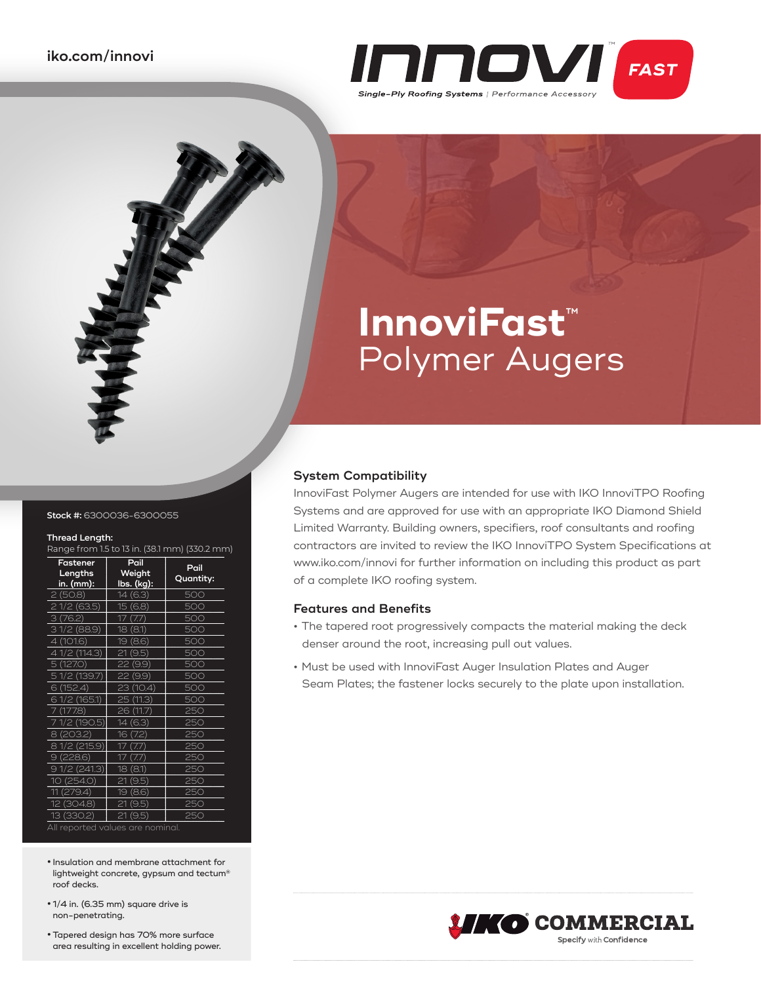

# **InnoviFast**™ Polymer Augers

#### **Stock #:** 6300036-6300055

#### **Thread Length:**

Range from 1.5 to 13 in. (38.1 mm) (330.2 mm)

| Fastener<br>Lengths<br>in. (mm): | Pail<br>Weight<br>lbs. (kg): | Pail<br>Quantity: |  |  |
|----------------------------------|------------------------------|-------------------|--|--|
| 2(50.8)                          | 14 (6.3)                     | 500               |  |  |
| 21/2(63.5)                       | 15 (6.8)                     | 500               |  |  |
| 3(76.2)                          | 17 (7.7)                     | 500               |  |  |
| 31/2(88.9)                       | 18 (8.1)                     | 500               |  |  |
| 4 (101.6)                        | 19 (8.6)                     | 500               |  |  |
| 4 1/2 (114.3)                    | 21 (9.5)                     | 500               |  |  |
| 5 (127.0)                        | 22 (9.9)                     | 500               |  |  |
| 5 1/2 (139.7)                    | 22 (9.9)                     | 500               |  |  |
| 6 (152.4)                        | 23 (10.4)                    | 500               |  |  |
| 6 1/2 (165.1)                    | 25 (11.3)                    | 500               |  |  |
| 7 (177.8)                        | 26 (11.7)                    | 250               |  |  |
| 1/2 (190.5)                      | 14(6.3)                      | 250               |  |  |
| 8 (203.2)                        | 16<br>(7.2)                  | 250               |  |  |
| 8 1/2 (215.9)                    | $($ / $/$                    | 250               |  |  |
| 9(228.6)                         | 17<br>$\frac{1}{2}$          | 250               |  |  |
| 91/2(241.3)                      | 18<br>(8.1)                  | 250               |  |  |
| 10 (254.0)                       | (9.5)<br>21                  | 250               |  |  |
| 11 (279.4)                       | 19 (8.6)                     | 250               |  |  |
| 12 (304.8)                       | 21<br>(9.5)                  | 250               |  |  |
| 13 (330.2)                       | 21 (9.5)                     | 250               |  |  |
| All reported values are nominal. |                              |                   |  |  |

**•** Insulation and membrane attachment for lightweight concrete, gypsum and tectum® roof decks.

- **•** 1/4 in. (6.35 mm) square drive is non-penetrating.
- **•** Tapered design has 70% more surface area resulting in excellent holding power.

#### **System Compatibility**

InnoviFast Polymer Augers are intended for use with IKO InnoviTPO Roofing Systems and are approved for use with an appropriate IKO Diamond Shield Limited Warranty. Building owners, specifiers, roof consultants and roofing contractors are invited to review the IKO InnoviTPO System Specifications at www.iko.com/innovi for further information on including this product as part of a complete IKO roofing system.

#### **Features and Benefits**

- **•** The tapered root progressively compacts the material making the deck denser around the root, increasing pull out values.
- **•** Must be used with InnoviFast Auger Insulation Plates and Auger Seam Plates; the fastener locks securely to the plate upon installation.